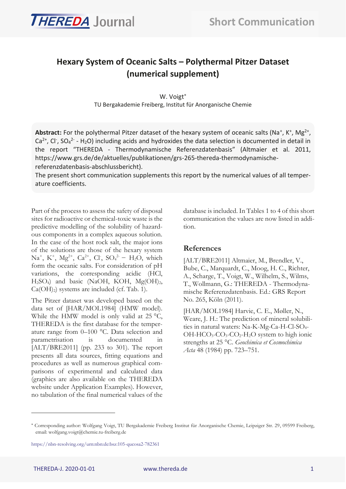

# **Hexary System of Oceanic Salts – Polythermal Pitzer Dataset (numerical supplement)**

W. Voigt TU Bergakademie Freiberg, Institut für Anorganische Chemie

Abstract: For the polythermal Pitzer dataset of the hexary system of oceanic salts (Na<sup>+</sup>, K<sup>+</sup>, Mg<sup>2+</sup>, Ca<sup>2+</sup>, Cl<sup>-</sup>, SO<sub>4</sub><sup>2-</sup> - H<sub>2</sub>O) including acids and hydroxides the data selection is documented in detail in the report "THEREDA - Thermodynamische Referenzdatenbasis" (Altmaier et al. 2011, https://www.grs.de/de/aktuelles/publikationen/grs-265-thereda-thermodynamischereferenzdatenbasis-abschlussbericht).

The present short communication supplements this report by the numerical values of all temperature coefficients.

Part of the process to assess the safety of disposal sites for radioactive or chemical-toxic waste is the predictive modelling of the solubility of hazardous components in a complex aqueous solution. In the case of the host rock salt, the major ions of the solutions are those of the hexary system  $\text{Na}^+$ , K<sup>+</sup>, Mg<sup>2+</sup>, Ca<sup>2+</sup>, Cl<sub>2</sub>, SO<sub>4</sub><sup>2-</sup> – H<sub>2</sub>O<sub>2</sub>, which form the oceanic salts. For consideration of pH variations, the corresponding acidic (HCl,  $H<sub>2</sub>SO<sub>4</sub>$  and basic (NaOH, KOH, Mg(OH)<sub>2</sub>,  $Ca(OH<sub>2</sub>)$  systems are included (cf. [Tab. 1\)](#page-1-0).

The Pitzer dataset was developed based on the data set of [\[HAR/MOL1984\]](#page-0-0) (HMW model). While the HMW model is only valid at 25 °C, THEREDA is the first database for the temperature range from 0–100 °C. Data selection and parametrisation is documented in [\[ALT/BRE2011\]](#page-0-1) (pp. 233 to 301). The report presents all data sources, fitting equations and procedures as well as numerous graphical comparisons of experimental and calculated data (graphics are also available on the THEREDA website under Application Examples). However, no tabulation of the final numerical values of the

<span id="page-0-2"></span>database is included. In Tables 1 to 4 of this short communication the values are now listed in addition.

#### **References**

<span id="page-0-1"></span>[ALT/BRE2011] Altmaier, M., Brendler, V., Bube, C., Marquardt, C., Moog, H. C., Richter, A., Scharge, T., Voigt, W., Wilhelm, S., Wilms, T., Wollmann, G.: THEREDA - Thermodynamische Referenzdatenbasis. Ed.: GRS Report No. 265, Köln (2011).

<span id="page-0-0"></span>[HAR/MOL1984] Harvie, C. E., Møller, N., Weare, J. H.: The prediction of mineral solubilities in natural waters: Na-K-Mg-Ca-H-Cl-SO4- OH-HCO<sub>3</sub>-CO<sub>3</sub>-CO<sub>2</sub>-H<sub>2</sub>O system to high ionic strengths at 25 °C. *Geochimica et Cosmochimica Acta* 48 (1984) pp. 723–751.

<https://nbn-resolving.org/urn:nbn:de:bsz:105-qucosa2-782361>

 Corresponding author: Wolfgang Voigt, TU Bergakademie Freiberg Institut für Anorganische Chemie, Leipziger Str. 29, 09599 Freiberg, email: wolfgang.voigt@chemie.tu-freiberg.de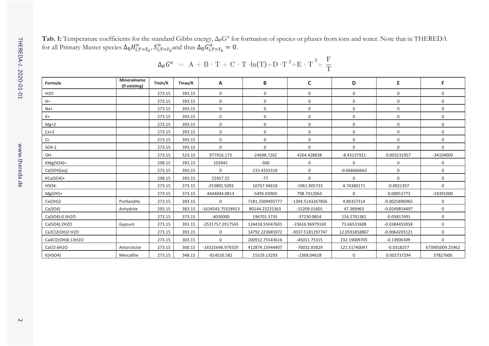$\rm Tab.$  1: Temperature coefficients for the standard Gibbs energy,  $\Delta_{\rm R}G^\circ$  for formation of species or phases from ions and water. Note that in THEREDA for all Primary Master species  $\Delta_R H_{i,T=T_0}^0$ ,  $S_{i,T=T_0}^0$  and thus  $\Delta_R G_{i,T=T_0}^0 = 0$ .

<span id="page-1-0"></span>

| Formula           | Mineralname<br>(if existing) | Tmin/K | Tmax/K | Α                 | B               | C                | D              | E.              | F               |
|-------------------|------------------------------|--------|--------|-------------------|-----------------|------------------|----------------|-----------------|-----------------|
| H <sub>20</sub>   |                              | 273.15 | 393.15 | 0                 | $\mathbf 0$     | $\Omega$         | 0              | $\Omega$        | $\Omega$        |
| $H+$              |                              | 273.15 | 393.15 | $\mathbf 0$       | $\mathbf 0$     | 0                | 0              | 0               | $\mathbf 0$     |
| $Na+$             |                              | 273.15 | 393.15 | 0                 | 0               | 0                | 0              | $\mathbf 0$     | $\mathbf 0$     |
| $K+$              |                              | 273.15 | 393.15 | $\mathbf 0$       | $\mathbf 0$     | $\mathbf 0$      | 0              | $\mathbf 0$     | $\mathbf 0$     |
| Mg+2              |                              | 273.15 | 393.15 | 0                 | $\mathbf 0$     | 0                | 0              | $\mathbf 0$     | $\mathbf 0$     |
| $Ca+2$            |                              | 273.15 | 393.15 | $\mathbf 0$       | 0               | 0                | 0              | 0               | $\mathbf 0$     |
| $Cl-$             |                              | 273.15 | 393.15 | $\mathbf 0$       | $\mathbf 0$     | 0                | 0              | $\Omega$        | $\mathbf 0$     |
| SO4-2             |                              | 273.15 | 393.15 | 0                 | $\mathbf 0$     | $\Omega$         | 0              | $\Omega$        | $\Omega$        |
| OH-               |                              | 273.15 | 523.15 | 977916.173        | -24698.7262     | 4264.428838      | $-8.43137921$  | 0.003231957     | $-34104000$     |
| KMg(SO4)+         |                              | 298.15 | 393.15 | 103945            | $-300$          | $\mathbf 0$      | 0              | 0               | 0               |
| Ca(SO4)(aq)       |                              | 273.15 | 393.15 | 0                 | 215.4333318     | $\mathbf 0$      | $-0.666666662$ | $\mathbf 0$     | $\mathbf 0$     |
| $KGa(SO4)+$       |                              | 298.15 | 393.15 | 15957.55          | $-77$           | $\mathbf 0$      | 0              | $\Omega$        | $\mathbf 0$     |
| HSO4-             |                              | 273.15 | 373.15 | -253892.5093      | 10767.94618     | -1961.905733     | 4.74380171     | $-0.0021397$    | $\Omega$        |
| $Mg(OH)+$         |                              | 273.15 | 373.15 | 4444044.0813      | -5495.03903     | 798.7412063      | 0              | $-0.00052773$   | $-24391000$     |
| Ca(OH)2           | Portlandite                  | 273.15 | 393.15 | 0                 | 7181.2509495777 | -1394.5143267856 | 4.80357314     | $-0.0025896965$ | 0               |
| Ca(SO4)           | Anhydrite                    | 293.15 | 383.15 | -1634543.75318913 | 80144.23225363  | -15209.01605     | 47.389963      | -0.0249854497   | $\Omega$        |
| Ca(SO4):0.5H2O    |                              | 273.15 | 373.15 | $-4030000$        | 196701.5735     | -37230.0854      | 114.2701381    | $-0.05857491$   | $\mathbf 0$     |
| Ca(SO4):2H2O      | Gypsum                       | 273.15 | 393.15 | -2531757.2917543  | 124418.55047601 | -23616.96979169  | 73.66531608    | $-0.0384455958$ | $\mathbf 0$     |
| Ca2Cl2(OH)2:H2O   |                              | 273.15 | 393.15 | $\mathbf 0$       | 14792.223685972 | -3037.5181297747 | 12.0591858867  | $-0.0064205121$ | $\mathbf 0$     |
| Ca4Cl2(OH)6:13H2O |                              | 273.15 | 303.15 | 0                 | 200912.75543616 | -45011.75315     | 232.19009705   | $-0.13906309$   | 0               |
| CaCl2:6H2O        | Antarcticite                 | 273.15 | 300.15 | -16325646.979329  | 412874.15944407 | -70032.85829     | 121.51740047   | $-0.0318257$    | 673905009.25962 |
| K(HSO4)           | Mercallite                   | 273.15 | 348.15 | $-814526.581$     | 15529.13293     | -2368.04618      | 0              | 0.002737294     | 37827600        |

| $\Delta_R G^o$ = A + B · T + C · T ·ln(T)+D ·T <sup>2</sup> +E · T <sup>3</sup> + $\frac{F}{T}$ |  |
|-------------------------------------------------------------------------------------------------|--|
|-------------------------------------------------------------------------------------------------|--|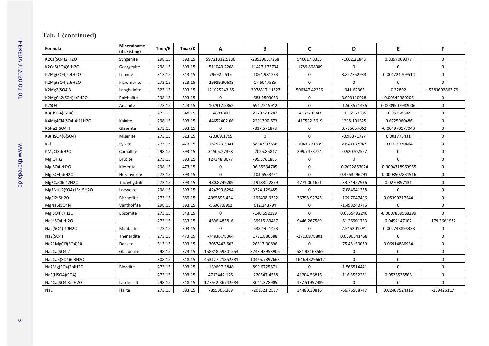## **Tab. 1 (continued)**

| Formula              | Mineralname<br>(if existing) | Tmin/K | Tmax/K | A                | B              | $\mathsf{C}$   | D               | E                | F              |
|----------------------|------------------------------|--------|--------|------------------|----------------|----------------|-----------------|------------------|----------------|
| K2Ca(SO4)2:H2O       | Syngenite                    | 298.15 | 393.15 | 59721312.9236    | -2893908.7268  | 546617.8335    | $-1662.21848$   | 0.8397009377     | 0              |
| K2Ca5(SO4)6:H2O      | Goergeyite                   | 298.15 | 393.15 | -511049.2208     | 11427.173794   | -1789.808989   | $\Omega$        | $\Omega$         | 0              |
| K2Mg(SO4)2:4H2O      | Leonite                      | 313.15 | 343.15 | 79692.2519       | -1064.981273   | 0              | 3.827752933     | -0.004721709514  | $\mathbf 0$    |
| K2Mg(SO4)2:6H2O      | Picromerite                  | 273.15 | 323.15 | -29989.90633     | 17.6047585     | $\Omega$       | 0               | 0                | 0              |
| K2Mg2(SO4)3          | Langbeinite                  | 323.15 | 393.15 | 121025243.65     | -2978817.11627 | 506347.42326   | -941.62365      | 0.32892          | -5383692863.79 |
| K2MgCa2(SO4)4:2H2O   | Polyhalite                   | 298.15 | 393.15 | 0                | -683.2503053   | 0              | 3.003110928     | $-0.00542980206$ | 0              |
| K2SO4                | Arcanite                     | 273.15 | 423.15 | -107917.5862     | 691.7215912    | $\Omega$       | $-1.503571476$  | 0.0009507982006  | $\mathbf 0$    |
| K3(HSO4)(SO4)        |                              | 273.15 | 348.15 | -4881800         | 222927.8282    | -41527.8943    | 116.5563335     | $-0.05358502$    | 0              |
| K4Mg4Cl4(SO4)4:11H2O | Kainite                      | 298.15 | 393.15 | -44652402.06     | 2201390.673    | -417522.5619   | 1298.101325     | -0.6725960486    | 0              |
| K6Na2(SO4)4          | Glaserite                    | 273.15 | 393.15 | 0                | $-817.571878$  | 0              | 3.735657062     | -0.004970177043  | $\mathbf 0$    |
| K8(HSO4)6(SO4)       | Misenite                     | 273.15 | 323.15 | -20309.1795      | 0              | $\mathbf 0$    | $-0.98371727$   | 0.001775431      | 0              |
| KCI                  | Sylvite                      | 273.15 | 473.15 | -162523.3941     | 5834.903636    | -1043.271639   | 2.640137947     | -0.0012970464    | 0              |
| KMgCl3:6H2O          | Carnallite                   | 298.15 | 393.15 | 31505.27368      | -2025.85817    | 399.7473724    | -0.920702567    | 0                | 0              |
| Mg(OH)2              | <b>Brucite</b>               | 273.15 | 393.15 | 127348.8077      | -99.3761865    | 0              | $\mathbf 0$     | $\Omega$         | 0              |
| Mg(SO4):H2O          | Kieserite                    | 298.15 | 473.15 | 0                | 96.35534705    | $\mathbf 0$    | $-0.2022853024$ | -0.0004318969955 | $\mathbf 0$    |
| Mg(SO4):6H2O         | Hexahydrite                  | 273.15 | 393.15 | 0                | $-103.6553421$ | 0              | 0.4963296291    | -0.0008507834516 | 0              |
| Mg2CaCl6:12H2O       | Tachyhydrite                 | 273.15 | 393.15 | -480.8749209     | -19188.22859   | 4771.001651    | -33.74457936    | 0.0270397131     | 0              |
| Mg7Na12(SO4)13:15H2O | Loeweite                     | 298.15 | 393.15 | -424299.6294     | 3324.129485    | 0              | -7.084941358    | $\Omega$         | $\mathbf 0$    |
| MgCl2:6H2O           | Bischofite                   | 273.15 | 389.15 | 4095895.434      | -195408.9322   | 36798.92745    | -109.7047406    | 0.05399217544    | 0              |
| MgNa6(SO4)4          | Vanthoffite                  | 298.15 | 393.15 | -56967.8992      | 612.343794     | $\pmb{0}$      | $-1.498240746$  | $\mathbf 0$      | 0              |
| Mg(SO4):7H2O         | Epsomite                     | 273.15 | 343.15 | $\Omega$         | $-146.692199$  | $\Omega$       | 0.6055492246    | -0.0007859538299 | 0              |
| Na(HSO4):H2O         |                              | 273.15 | 333.15 | -4696.485816     | -39915.83487   | 9446.267589    | $-61.26901723$  | 0.0492147102     | -179.3661932   |
| Na2(SO4):10H2O       | Mirabilite                   | 273.15 | 303.15 | 0                | -538.4421493   | $\mathbf 0$    | 2.545201591     | -0.002743898333  | 0              |
| Na2(SO4)             | Thenardite                   | 273.15 | 473.15 | -74836.78364     | 1781.886588    | -271.6978801   | 0.0390341458    | $\Omega$         | $\mathbf 0$    |
| Na21MgCl3(SO4)10     | Dansite                      | 313.15 | 393.15 | -3057443.503     | 26617.00896    | 0              | -75.45150039    | 0.06914886934    | $\mathbf 0$    |
| Na2Ca(SO4)2          | Glauberite                   | 298.15 | 373.15 | -158818.59301554 | 3748.43953905  | -581.93163569  | 0               | $\mathbf 0$      | 0              |
| Na2Ca5(SO4)6:3H2O    |                              | 308.15 | 348.15 | -453127.21852381 | 10465.7897663  | -1646.48296612 | $\mathbf 0$     | $\mathbf 0$      | 0              |
| Na2Mg(SO4)2:4H2O     | Bloedite                     | 273.15 | 393.15 | -139697.3848     | 890.6725871    | 0              | $-1.566514441$  | $\mathbf 0$      | 0              |
| Na3(HSO4)(SO4)       |                              | 273.15 | 393.15 | 4712442.126      | -220547.4568   | 41204.58816    | $-116.3552281$  | 0.0523535563     | $\mathbf 0$    |
| Na4Ca(SO4)3:2H2O     | Labile-salt                  | 298.15 | 348.15 | -127642.36742584 | 3041.378905    | -477.51957489  | $\Omega$        | $\Omega$         | 0              |
| NaCl                 | Halite                       | 273.15 | 393.15 | 7895365.369      | -201321.2537   | 34480.30816    | -66.76588747    | 0.02407524316    | -339425117     |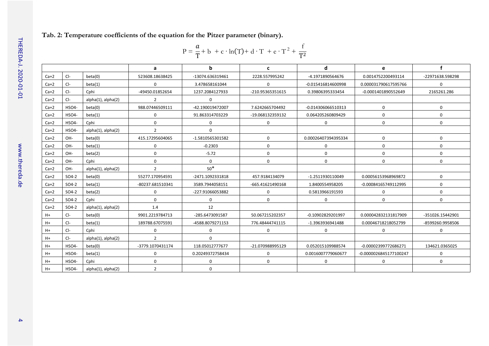#### **Tab. 2: Temperature coefficients of the equation for the Pitzer parameter (binary).**

$$
P = \frac{a}{T} + b + c \cdot ln(T) + d \cdot T + e \cdot T^{2} + \frac{f}{T^{2}}
$$

|        |         |                         | a                | b                | c                | d                   | e                      | f                |
|--------|---------|-------------------------|------------------|------------------|------------------|---------------------|------------------------|------------------|
| $Ca+2$ | $Cl-$   | beta(0)                 | 523608.18638425  | -13074.636319461 | 2228.557995242   | -4.1971890564676    | 0.0014752200493114     | -22971638.598298 |
| $Ca+2$ | $Cl-$   | beta(1)                 | $\Omega$         | 3.478658161044   | 0                | -0.015416814600998  | 0.000031790617595766   | 0                |
| $Ca+2$ | $Cl-$   | Cphi                    | -49450.01852654  | 1237.2084127933  | -210.95365351615 | 0.39806395333454    | -0.0001401890552649    | 2165261.286      |
| $Ca+2$ | $Cl-$   | $alpha(1)$ , $alpha(2)$ | $\overline{2}$   | 0                |                  |                     |                        |                  |
| $Ca+2$ | HSO4-   | beta(0)                 | 988.07446509111  | -42.190019472007 | 7.6242665704492  | -0.014306066510313  | $\Omega$               | $\Omega$         |
| $Ca+2$ | HSO4-   | beta(1)                 | $\Omega$         | 91.863314703229  | -19.068132359132 | 0.064205260809429   | 0                      | 0                |
| $Ca+2$ | HSO4-   | Cphi                    | $\Omega$         | 0                | 0                | 0                   | 0                      | 0                |
| $Ca+2$ | HSO4-   | $alpha(1)$ , $alpha(2)$ | $\overline{2}$   | $\Omega$         |                  |                     |                        |                  |
| $Ca+2$ | OH-     | beta(0)                 | 415.17295604065  | -1.5810565301582 | $\Omega$         | 0.00026407394395334 | $\Omega$               | $\Omega$         |
| $Ca+2$ | OH-     | beta(1)                 | $\Omega$         | $-0.2303$        | 0                | 0                   | 0                      | 0                |
| $Ca+2$ | OH-     | beta(2)                 | $\Omega$         | $-5.72$          | 0                | $\mathbf 0$         | 0                      | 0                |
| $Ca+2$ | OH-     | Cphi                    | $\Omega$         | 0                | 0                | $\mathbf 0$         | 0                      | 0                |
| $Ca+2$ | OH-     | $alpha(1)$ , $alpha(2)$ | $\overline{2}$   | $50*$            |                  |                     |                        |                  |
| $Ca+2$ | $SO4-2$ | beta(0)                 | 55277.170954591  | -2471.1092331818 | 457.9184134079   | -1.2511930110049    | 0.00056153968969872    | 0                |
| $Ca+2$ | $SO4-2$ | beta(1)                 | -80237.681510341 | 3589.7944058151  | -665.41621490168 | 1.8400554958205     | -0.00084165749112995   | 0                |
| $Ca+2$ | $SO4-2$ | beta(2)                 | 0                | -227.91066053882 | 0                | 0.5813966191593     | 0                      | 0                |
| $Ca+2$ | $SO4-2$ | Cphi                    | $\Omega$         | 0                | 0                | $\Omega$            | $\Omega$               | $\Omega$         |
| $Ca+2$ | $SO4-2$ | $alpha(1)$ , $alpha(2)$ | 1.4              | 12               |                  |                     |                        |                  |
| $H+$   | $Cl-$   | beta(0)                 | 9901.2219784713  | -285.6473091587  | 50.067215202357  | -0.10902829201997   | 0.000042832131817909   | -351026.15442901 |
| H+     | $Cl-$   | beta(1)                 | 189788.67075591  | -4588.8079271153 | 776.48444741115  | -1.3963936941488    | 0.00046718218052799    | -8599260.9958506 |
| H+     | $Cl-$   | Cphi                    | 0                | 0                | 0                | 0                   | 0                      | 0                |
| H+     | $Cl-$   | $alpha(1)$ , $alpha(2)$ | $\overline{2}$   | 0                |                  |                     |                        |                  |
| H+     | HSO4-   | beta(0)                 | -3779.1070431174 | 118.05012777677  | -21.070988995129 | 0.052015109988574   | -0.00002399772686271   | 134621.0365025   |
| $H+$   | HSO4-   | beta(1)                 | $\Omega$         | 0.20249372758434 | $\Omega$         | 0.0016007779060677  | -0.0000026845177100247 | $\Omega$         |
| H+     | HSO4-   | Cphi                    | $\Omega$         | 0                | 0                | 0                   | 0                      | 0                |
| $H+$   | HSO4-   | $alpha(1)$ , $alpha(2)$ | $\overline{2}$   | $\Omega$         |                  |                     |                        |                  |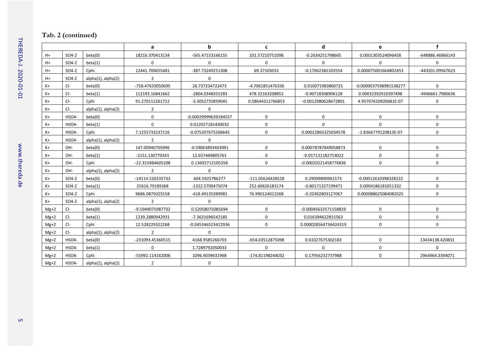## **Tab. 2 (continued)**

|        |         |                         | a                        | $\mathbf b$          | C                | d                    | e                      | f                |
|--------|---------|-------------------------|--------------------------|----------------------|------------------|----------------------|------------------------|------------------|
| $H+$   | $SO4-2$ | beta(0)                 | 18216.370413134          | -565.47153166155     | 101.57210751098  | -0.2634251798665     | 0.0001303524096458     | -648886.46966143 |
| $H+$   | $SO4-2$ | beta(1)                 | $\Omega$                 | $\Omega$             | $\Omega$         | $\Omega$             | $\Omega$               | $\Omega$         |
| $H+$   | $SO4-2$ | Cphi                    | 12441.700655481          | -387.73249251308     | 69.37103031      | -0.17062382103554    | 0.000075001664802453   | -443201.09567623 |
| $H+$   | SO4-2   | $alpha(1)$ , $alpha(2)$ | 2                        | $\Omega$             |                  |                      |                        |                  |
| K+     | $Cl-$   | beta(0)                 | -758.47633050695         | 26.737234722473      | -4.7061851476336 | 0.010071983860725    | -0.0000037598981538277 | 0                |
| K+     | $Cl-$   | beta(1)                 | 112193.16841662          | -2804.0348355283     | 478.32163208852  | -0.90718308906128    | 0.00032392910397498    | -4946661.7980636 |
| K+     | $Cl-$   | Cphi                    | 91.270112261712          | -3.3052735859041     | 0.58644312766853 | -0.0012980628672801  | 4.95707610920681E-07   | 0                |
| K+     | $Cl-$   | $alpha(1)$ , $alpha(2)$ | 2                        | $\Omega$             |                  |                      |                        |                  |
| $K+$   | HSO4-   | beta(0)                 | $\mathbf 0$              | -0.00029999639184557 | $\Omega$         | $\mathbf 0$          | $\mathbf 0$            | 0                |
| K+     | HSO4-   | beta(1)                 | $\Omega$                 | 0.012027181430032    | $\mathbf 0$      | $\Omega$             | $\Omega$               | 0                |
| $K+$   | HSO4-   | Cphi                    | 7.1255733237116          | -0.075207675506645   | $\Omega$         | 0.00022865325034578  | -1.8366779120813E-07   | 0                |
| $K+$   | HSO4-   | $alpha(1)$ , $alpha(2)$ | $\overline{\phantom{a}}$ | $\Omega$             |                  |                      |                        |                  |
| $K+$   | OH-     | beta(0)                 | 147.00940705996          | -0.59063893403091    | $\mathbf 0$      | 0.00078787849058873  | $\mathbf 0$            | 0                |
| $K+$   | OH-     | beta(1)                 | -2151.130770341          | 12.657469805761      | $\Omega$         | -0.017131182753022   | $\mathbf 0$            | 0                |
| $K+$   | OH-     | Cphi                    | -22.315984605208         | 0.13692712105358     | $\mathbf 0$      | -0.00020221458776836 | $\mathbf 0$            | 0                |
| K+     | OH-     | alpha(1), alpha(2)      | $\overline{2}$           | $\Omega$             |                  |                      |                        |                  |
| K+     | $SO4-2$ | beta(0)                 | -14114.520235733         | 604.5925786277       | -111.05626428528 | 0.29099890961573     | -0.00012610398328222   | 0                |
| $K+$   | $SO4-2$ | beta(1)                 | 25616.79189368           | -1322.5700475074     | 252.60626183174  | -0.80171327199471    | 0.0004186181651332     | 0                |
| K+     | $SO4-2$ | Cphi                    | 9686.0875025558          | -418.49135389981     | 76.990124012268  | -0.20302803127067    | 0.000088625084082025   | 0                |
| $K+$   | $SO4-2$ | $alpha(1)$ , $alpha(2)$ | $\mathcal{P}$            | $\Omega$             |                  |                      |                        |                  |
| $Mg+2$ | $Cl-$   | beta(0)                 | -9.5949075987732         | 0.52058075085694     | $\Omega$         | -0.00045632571158819 | $\mathbf 0$            | 0                |
| $Mg+2$ | $Cl-$   | beta(1)                 | 1239.2880942931          | -7.3631696542185     | $\mathbf 0$      | 0.016394622815563    | $\mathbf 0$            | 0                |
| $Mg+2$ | $Cl-$   | Cphi                    | 12.528229322268          | -0.045346523422936   | $\Omega$         | 0.000028564736424319 | $\Omega$               | $\Omega$         |
| $Mg+2$ | $Cl-$   | alpha(1), alpha(2)      | 2                        | $\Omega$             |                  |                      |                        |                  |
| $Mg+2$ | HSO4-   | beta(0)                 | -231093.45360515         | 4168.9585266703      | -654.03512875098 | 0.61027675302183     | $\Omega$               | 13434138.420831  |
| $Mg+2$ | HSO4-   | beta(1)                 | $\mathbf 0$              | 1.7289792050033      | $\Omega$         | 0                    | $\mathbf 0$            | 0                |
| $Mg+2$ | HSO4-   | Cphi                    | -55992.114162006         | 1096.9039631968      | -174.81198244032 | 0.17956232737988     | $\mathbf 0$            | 2964964.3394071  |
| $Mg+2$ | HSO4-   | alpha(1), alpha(2)      | $\overline{2}$           | 0                    |                  |                      |                        |                  |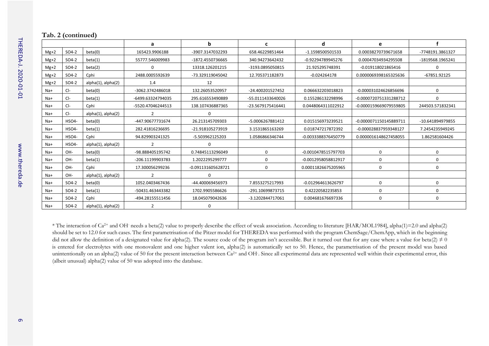#### **Tab. 2 (continued)**

|        |         |                          | a                 | b                  | c                 | d                   | е                      |                  |
|--------|---------|--------------------------|-------------------|--------------------|-------------------|---------------------|------------------------|------------------|
| $Mg+2$ | SO4-2   | beta(0)                  | 165423.9906188    | -3907.3147032293   | 658.46229851464   | -1.1598500501533    | 0.00038270739671658    | -7748191.3861327 |
| $Mg+2$ | $SO4-2$ | beta(1)                  | 55777.546009983   | -1872.4550736665   | 340.94273642432   | -0.92294789945276   | 0.00047034934295508    | -1819568.1965241 |
| $Mg+2$ | SO4-2   | beta(2)                  | 0                 | 13318.126201215    | -3193.0895050815  | 21.925295748391     | -0.019118021865416     | $\Omega$         |
| $Mg+2$ | $SO4-2$ | Cphi                     | 2488.0005592639   | -73.329119045042   | 12.705371182873   | $-0.024264178$      | 0.0000069398165325636  | -67851.92125     |
| $Mg+2$ | $SO4-2$ | $alpha(1)$ , alpha $(2)$ | 1.4               | 12                 |                   |                     |                        |                  |
| Na+    | $Cl-$   | beta(0)                  | -3062.3742486018  | 132.26053520957    | -24.400201527452  | 0.066632203018823   | -0.000031024626856696  | 0                |
| $Na+$  | $Cl-$   | beta(1)                  | -6499.63324794035 | 295.616553490889   | -55.0111433640026 | 0.155286132298996   | -0.0000720751331288712 | $\Omega$         |
| Na+    | $Cl-$   | Cphi                     | -5520.47046244513 | 138.107436887365   | -23.5679175416441 | 0.0448064311022912  | -0.0000159669079559805 | 244503.571832341 |
| Na+    | $Cl-$   | $alpha(1)$ , $alpha(2)$  | 2                 | $\Omega$           |                   |                     |                        |                  |
| Na+    | HSO4-   | beta(0)                  | -447.90677731674  | 26.213145709303    | -5.0006267881412  | 0.015156973239521   | -0.0000071150145889711 | -10.641894979855 |
| Na+    | HSO4-   | beta(1)                  | 282.41816236695   | -21.918105273919   | 3.1531865163269   | 0.018747217872392   | -0.000028837959348127  | 7.2454235949245  |
| Na+    | HSO4-   | Cphi                     | 94.829903241325   | -5.503962125203    | 1.0586866346744   | -0.0033388376450779 | 0.0000016148627458055  | 1.862581604426   |
| Na+    | HSO4-   | alpha(1), alpha(2)       |                   | n                  |                   |                     |                        |                  |
| Na+    | OH-     | beta(0)                  | -98.888405195742  | 0.74845113296049   | 0                 | -0.0010478515797703 | $\Omega$               | 0                |
| Na+    | OH-     | beta(1)                  | -206.11199903783  | 1.2022295299777    | $\Omega$          | -0.0012958058812917 | $\Omega$               | 0                |
| Na+    | OH-     | Cphi                     | 17.300056299236   | -0.091131605628721 | $\mathbf 0$       | 0.00011826675205965 | $\Omega$               | $\Omega$         |
| Na+    | OH-     | $alpha(1)$ , alpha $(2)$ |                   |                    |                   |                     |                        |                  |
| Na+    | SO4-2   | beta(0)                  | 1052.0403467436   | -44.400069456973   | 7.8553275217993   | -0.012964613626797  | $\Omega$               | $\Omega$         |
| Na+    | $SO4-2$ | beta(1)                  | -50431.463443382  | 1702.9905586626    | -291.10699873715  | 0.42220582235853    | $\Omega$               | $\Omega$         |
| Na+    | SO4-2   | Cphi                     | -494.28155511456  | 18.045079042636    | -3.1202844717061  | 0.004681676697336   | 0                      | 0                |
| Na+    | $SO4-2$ | $alpha(1)$ , $alpha(2)$  | 2                 | $\Omega$           |                   |                     |                        |                  |

\* The interaction of Ca2+ and OH- needs a beta(2) value to properly describe the effect of weak association. According to literatur[e \[HAR/MOL1984\],](#page-0-2) alpha(1)=2.0 and alpha(2) should be set to 12.0 for such cases. The first parametrisation of the Pitzer model for THEREDA was performed with the program ChemSage/ChemApp, which in the beginning did not allow the definition of a designated value for alpha(2). The source code of the program isn't accessible. But it turned out that for any case where a value for beta(2)  $\neq$  0 is entered for electrolytes with one monovalent and one higher valent ion, alpha(2) is automatically set to 50. Hence, the parametrisation of the present model was based unintentionally on an alpha(2) value of 50 for the present interaction between Ca<sup>2+</sup> and OH . Since all experimental data are represented well within their experimental error, this (albeit unusual) alpha(2) value of 50 was adopted into the database.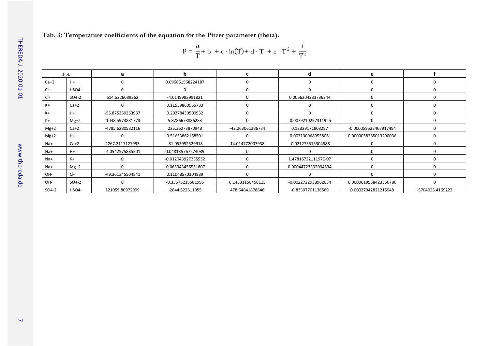**Tab. 3: Temperature coefficients of the equation for the Pitzer parameter (theta).**

$$
P = \frac{a}{T} + b + c \cdot ln(T) + d \cdot T + e \cdot T^{2} + \frac{f}{T^{2}}
$$

|        | theta        | a                | n                  | c                | d                   | e                     |                  |
|--------|--------------|------------------|--------------------|------------------|---------------------|-----------------------|------------------|
| $Ca+2$ | $H+$         | 0                | 0.096861568224187  | 0                |                     | $\Omega$              |                  |
| $Cl-$  | <b>HSO4-</b> | 0                |                    | 0                |                     | $\Omega$              |                  |
| $Cl-$  | SO4-2        | 614.5226089362   | -4.0149983991821   | 0                | 0.0066204233736244  | 0                     |                  |
| K+     | $Ca+2$       | 0                | 0.11559860965783   | 0                | 0                   | $\mathbf 0$           |                  |
| $K+$   | $H+$         | -55.875359263937 | 0.20278430500932   | 0                |                     | $\Omega$              |                  |
| $K+$   | $Mg+2$       | -1048.5973881773 | 5.8786678886283    | $\Omega$         | -0.0079210297311925 | $\Omega$              |                  |
| $Mg+2$ | $Ca+2$       | -4785.6280582116 | 225.36273870948    | -42.263061386734 | 0.12329171808287    | -0.000059523467917494 |                  |
| $Mg+2$ | $H+$         | ŋ                | 0.51653862168501   | $\Omega$         | -0.0031309680558061 | 0.0000058285013290036 |                  |
| Na+    | $Ca+2$       | 2267.2117127993  | -81.053952529918   | 14.014772007938  | -0.021273515304588  | 0                     |                  |
| Na+    | $H+$         | -4.0542575885501 | 0.048135767274039  | $\Omega$         |                     | $\Omega$              |                  |
| Na+    | $K+$         | 0                | -0.012043927235552 | 0                | 1.4781672211197E-07 | $\Omega$              |                  |
| Na+    | $Mg+2$       | $\Omega$         | -0.063343456551807 | 0                | 0.00044723332094534 | $\Omega$              |                  |
| OH-    | $Cl-$        | -49.361345504841 | 0.11048570304889   | $\Omega$         | $\Omega$            | $\Omega$              |                  |
| OH-    | SO4-2        | 0                | -0.33575218581995  | 0.14531158458115 | -0.0022722938962054 | 0.0000019538423356786 |                  |
| SO4-2  | HSO4-        | 121059.80972999  | -2844.522811955    | 478.64841878646  | -0.83397701136569   | 0.00027042821215948   | -5704023.4169222 |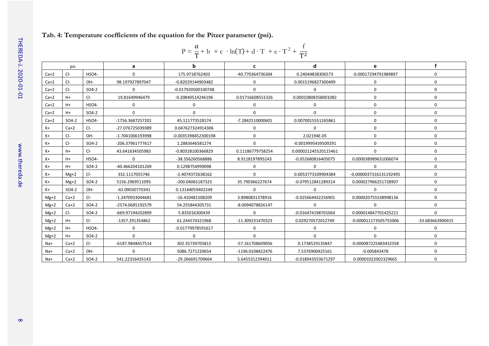#### **Tab. 4: Temperature coefficients of the equation for the Pitzer parameter (psi).**

|  |  | $P = \frac{a}{T} + b + c \cdot ln(T) + d \cdot T + e \cdot T^2 + \frac{f}{T^2}$ |  |
|--|--|---------------------------------------------------------------------------------|--|
|--|--|---------------------------------------------------------------------------------|--|

|        | psi     |                    | a                | b                   | c                | d                    | e                      |                  |
|--------|---------|--------------------|------------------|---------------------|------------------|----------------------|------------------------|------------------|
| $Ca+2$ | $Cl-$   | HSO4-              | 0                | 175.9718762403      | -40.770364736304 | 0.24044838306573     | -0.00017294791989897   | 0                |
| $Ca+2$ | CI-     | OH-                | 98.197927897047  | -0.82029144903482   | 0                | 0.0015196827300499   | $\mathbf 0$            | 0                |
| $Ca+2$ | CI-     | $SO4-2$            | $\Omega$         | -0.017920500330748  | $\Omega$         | $\Omega$             | $\mathbf 0$            | $\Omega$         |
| $Ca+2$ | $H+$    | $Cl-$              | 19.81649946479   | -0.20840514246196   | 0.01716608551326 | 0.00010808358001082  | $\mathbf 0$            | $\Omega$         |
| $Ca+2$ | $H+$    | HSO4-              | 0                | $\Omega$            | 0                | $\mathbf 0$          | $\mathbf 0$            | 0                |
| $Ca+2$ | $H+$    | $SO4-2$            | $\Omega$         | $\Omega$            | 0                | $\Omega$             | $\mathbf 0$            | 0                |
| $Ca+2$ | $SO4-2$ | HSO4-              | -1756.3687257201 | 45.111773528174     | -7.2842510000601 | 0.0070015551265861   | $\mathbf 0$            | 0                |
| $K+$   | $Ca+2$  | $Cl-$              | -27.076725039389 | 0.047627324914306   | 0                | $\Omega$             | $\mathbf 0$            | 0                |
| K+     | CI-     | OH-                | -1.7041006193998 | -0.0035398452300198 | 0                | 2.02194E-05          | $\mathbf 0$            | 0                |
| $K+$   | $Cl-$   | $SO4-2$            | -206.37961777617 | 1.2883646581274     | $\Omega$         | -0.0019995439509291  | $\Omega$               | 0                |
| K+     | $H+$    | $Cl-$              | 43.641634505983  | -0.80328100366829   | 0.11186779758254 | 0.000021245520115461 | $\Omega$               | 0                |
| K+     | $H+$    | HSO4-              | $\Omega$         | -38.556260568886    | 8.9118197895243  | -0.052680816405075   | 0.000038989631006074   | $\Omega$         |
| $K+$   | $H+$    | $SO4-2$            | -40.466204101269 | 0.1298754999098     | O                | $\Omega$             | $\Omega$               | 0                |
| $K+$   | $Mg+2$  | $Cl-$              | 332.1117055746   | -2.4074372638162    | 0                | 0.0053773109904384   | -0.0000037316131192495 | 0                |
| K+     | $Mg+2$  | $SO4-2$            | 5156.2969511095  | -200.04065187323    | 35.790366227674  | -0.079512841289314   | 0.000027966251728907   | 0                |
| K+     | $SO4-2$ | OH-                | -42.09030770341  | 0.13144059402249    | 0                | 0                    | $\Omega$               | 0                |
| $Mg+2$ | $Ca+2$  | $Cl-$              | -1.2470933044681 | -16.410481508209    | 3.8980831378916  | -0.025664432256901   | 0.000020755538998136   | 0                |
| $Mg+2$ | $Ca+2$  | $SO4-2$            | -2574.0685192579 | 54.255844305731     | -8.0094078826147 | $\Omega$             | $\Omega$               | 0                |
| $Mg+2$ | $Cl-$   | $SO4-2$            | -669.97194202899 | 5.835016300439      | 0                | -0.016474198701064   | 0.000014847701425221   | $\Omega$         |
| $Mg+2$ | $H+$    | $Cl-$              | -1357.291354862  | 61.244574321968     | -11.309231470323 | 0.029270572012749    | -0.000011173505755006  | -33.683663900415 |
| $Mg+2$ | $H+$    | HSO <sub>4</sub> - | 0                | -0.01779978591617   | 0                | 0                    | $\mathbf 0$            | 0                |
| $Mg+2$ | $H+$    | SO4-2              | $\Omega$         |                     | 0                | $\Omega$             | $\Omega$               | 0                |
| Na+    | $Ca+2$  | $Cl-$              | -6187.9848457514 | 302.35739705815     | -57.161708609056 | 0.1738529135847      | -0.000087225483432558  | 0                |
| $Na+$  | $Ca+2$  | OH-                | $\Omega$         | 5086.7271220654     | -1196.0108422476 | 7.5376900425161      | $-0.005843478$         | $\Omega$         |
| $Na+$  | $Ca+2$  | SO4-2              | 541.22316435143  | -29.266691709664    | 5.6455312394011  | -0.018943553671297   | 0.00001022002329665    | $\Omega$         |